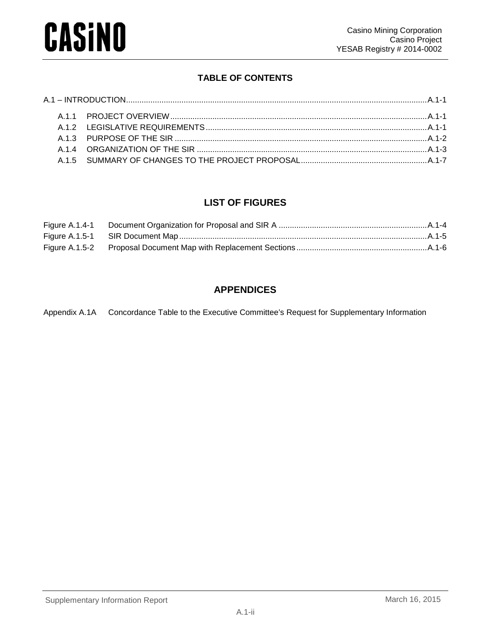## **TABLE OF CONTENTS**

## **LIST OF FIGURES**

| Figure $A.1.4-1$ |  |
|------------------|--|
|                  |  |
|                  |  |

## **APPENDICES**

Appendix A.1A Concordance Table to the Executive Committee's Request for Supplementary Information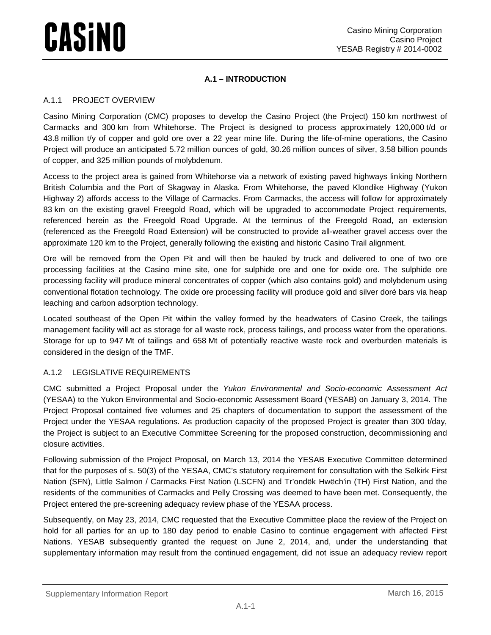### **A.1 – INTRODUCTION**

### <span id="page-1-1"></span><span id="page-1-0"></span>A.1.1 PROJECT OVERVIEW

Casino Mining Corporation (CMC) proposes to develop the Casino Project (the Project) 150 km northwest of Carmacks and 300 km from Whitehorse. The Project is designed to process approximately 120,000 t/d or 43.8 million t/y of copper and gold ore over a 22 year mine life. During the life-of-mine operations, the Casino Project will produce an anticipated 5.72 million ounces of gold, 30.26 million ounces of silver, 3.58 billion pounds of copper, and 325 million pounds of molybdenum.

Access to the project area is gained from Whitehorse via a network of existing paved highways linking Northern British Columbia and the Port of Skagway in Alaska. From Whitehorse, the paved Klondike Highway (Yukon Highway 2) affords access to the Village of Carmacks. From Carmacks, the access will follow for approximately 83 km on the existing gravel Freegold Road, which will be upgraded to accommodate Project requirements, referenced herein as the Freegold Road Upgrade. At the terminus of the Freegold Road, an extension (referenced as the Freegold Road Extension) will be constructed to provide all-weather gravel access over the approximate 120 km to the Project, generally following the existing and historic Casino Trail alignment.

Ore will be removed from the Open Pit and will then be hauled by truck and delivered to one of two ore processing facilities at the Casino mine site, one for sulphide ore and one for oxide ore. The sulphide ore processing facility will produce mineral concentrates of copper (which also contains gold) and molybdenum using conventional flotation technology. The oxide ore processing facility will produce gold and silver doré bars via heap leaching and carbon adsorption technology.

Located southeast of the Open Pit within the valley formed by the headwaters of Casino Creek, the tailings management facility will act as storage for all waste rock, process tailings, and process water from the operations. Storage for up to 947 Mt of tailings and 658 Mt of potentially reactive waste rock and overburden materials is considered in the design of the TMF.

### <span id="page-1-2"></span>A.1.2 LEGISLATIVE REQUIREMENTS

CMC submitted a Project Proposal under the *Yukon Environmental and Socio-economic Assessment Act* (YESAA) to the Yukon Environmental and Socio-economic Assessment Board (YESAB) on January 3, 2014. The Project Proposal contained five volumes and 25 chapters of documentation to support the assessment of the Project under the YESAA regulations. As production capacity of the proposed Project is greater than 300 t/day, the Project is subject to an Executive Committee Screening for the proposed construction, decommissioning and closure activities.

Following submission of the Project Proposal, on March 13, 2014 the YESAB Executive Committee determined that for the purposes of s. 50(3) of the YESAA, CMC's statutory requirement for consultation with the Selkirk First Nation (SFN), Little Salmon / Carmacks First Nation (LSCFN) and Tr'ondëk Hwëch'in (TH) First Nation, and the residents of the communities of Carmacks and Pelly Crossing was deemed to have been met. Consequently, the Project entered the pre-screening adequacy review phase of the YESAA process.

Subsequently, on May 23, 2014, CMC requested that the Executive Committee place the review of the Project on hold for all parties for an up to 180 day period to enable Casino to continue engagement with affected First Nations. YESAB subsequently granted the request on June 2, 2014, and, under the understanding that supplementary information may result from the continued engagement, did not issue an adequacy review report

### Supplementary Information Report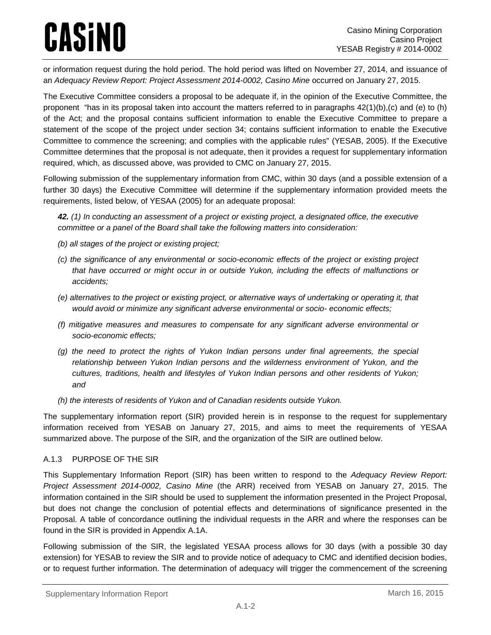or information request during the hold period. The hold period was lifted on November 27, 2014, and issuance of an *Adequacy Review Report: Project Assessment 2014-0002, Casino Mine* occurred on January 27, 2015.

The Executive Committee considers a proposal to be adequate if, in the opinion of the Executive Committee, the proponent "has in its proposal taken into account the matters referred to in paragraphs 42(1)(b),(c) and (e) to (h) of the Act; and the proposal contains sufficient information to enable the Executive Committee to prepare a statement of the scope of the project under section 34; contains sufficient information to enable the Executive Committee to commence the screening; and complies with the applicable rules" (YESAB, 2005). If the Executive Committee determines that the proposal is not adequate, then it provides a request for supplementary information required, which, as discussed above, was provided to CMC on January 27, 2015.

Following submission of the supplementary information from CMC, within 30 days (and a possible extension of a further 30 days) the Executive Committee will determine if the supplementary information provided meets the requirements, listed below, of YESAA (2005) for an adequate proposal:

*42. (1) In conducting an assessment of a project or existing project, a designated office, the executive committee or a panel of the Board shall take the following matters into consideration:*

- *(b) all stages of the project or existing project;*
- *(c) the significance of any environmental or socio-economic effects of the project or existing project that have occurred or might occur in or outside Yukon, including the effects of malfunctions or accidents;*
- *(e) alternatives to the project or existing project, or alternative ways of undertaking or operating it, that would avoid or minimize any significant adverse environmental or socio- economic effects;*
- *(f) mitigative measures and measures to compensate for any significant adverse environmental or socio-economic effects;*
- *(g) the need to protect the rights of Yukon Indian persons under final agreements, the special relationship between Yukon Indian persons and the wilderness environment of Yukon, and the cultures, traditions, health and lifestyles of Yukon Indian persons and other residents of Yukon; and*
- *(h) the interests of residents of Yukon and of Canadian residents outside Yukon.*

The supplementary information report (SIR) provided herein is in response to the request for supplementary information received from YESAB on January 27, 2015, and aims to meet the requirements of YESAA summarized above. The purpose of the SIR, and the organization of the SIR are outlined below.

### <span id="page-2-0"></span>A.1.3 PURPOSE OF THE SIR

This Supplementary Information Report (SIR) has been written to respond to the *Adequacy Review Report: Project Assessment 2014-0002, Casino Mine* (the ARR) received from YESAB on January 27, 2015. The information contained in the SIR should be used to supplement the information presented in the Project Proposal, but does not change the conclusion of potential effects and determinations of significance presented in the Proposal. A table of concordance outlining the individual requests in the ARR and where the responses can be found in the SIR is provided in Appendix A.1A.

Following submission of the SIR, the legislated YESAA process allows for 30 days (with a possible 30 day extension) for YESAB to review the SIR and to provide notice of adequacy to CMC and identified decision bodies, or to request further information. The determination of adequacy will trigger the commencement of the screening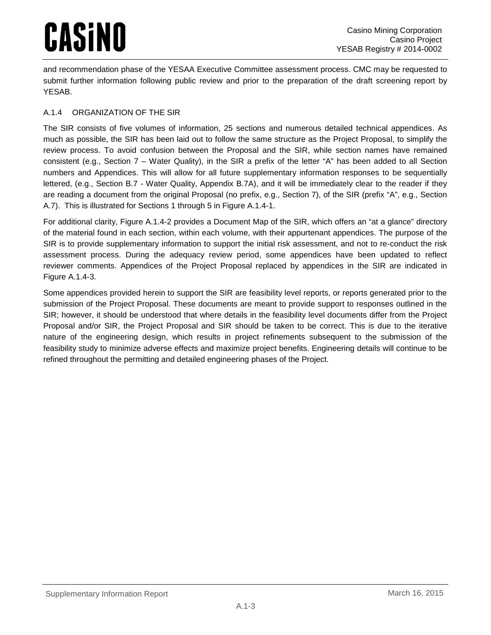and recommendation phase of the YESAA Executive Committee assessment process. CMC may be requested to submit further information following public review and prior to the preparation of the draft screening report by YESAB.

### <span id="page-3-0"></span>A.1.4 ORGANIZATION OF THE SIR

The SIR consists of five volumes of information, 25 sections and numerous detailed technical appendices. As much as possible, the SIR has been laid out to follow the same structure as the Project Proposal, to simplify the review process. To avoid confusion between the Proposal and the SIR, while section names have remained consistent (e.g., Section 7 – Water Quality), in the SIR a prefix of the letter "A" has been added to all Section numbers and Appendices. This will allow for all future supplementary information responses to be sequentially lettered, (e.g., Section B.7 - Water Quality, Appendix B.7A), and it will be immediately clear to the reader if they are reading a document from the original Proposal (no prefix, e.g., Section 7), of the SIR (prefix "A", e.g., Section A.7). This is illustrated for Sections 1 through 5 in [Figure A.1.4-1.](#page-4-0)

For additional clarity, [Figure A.1.4-2](#page-5-0) provides a Document Map of the SIR, which offers an "at a glance" directory of the material found in each section, within each volume, with their appurtenant appendices. The purpose of the SIR is to provide supplementary information to support the initial risk assessment, and not to re-conduct the risk assessment process. During the adequacy review period, some appendices have been updated to reflect reviewer comments. Appendices of the Project Proposal replaced by appendices in the SIR are indicated in [Figure A.1.4-3.](#page-6-0)

Some appendices provided herein to support the SIR are feasibility level reports, or reports generated prior to the submission of the Project Proposal. These documents are meant to provide support to responses outlined in the SIR; however, it should be understood that where details in the feasibility level documents differ from the Project Proposal and/or SIR, the Project Proposal and SIR should be taken to be correct. This is due to the iterative nature of the engineering design, which results in project refinements subsequent to the submission of the feasibility study to minimize adverse effects and maximize project benefits. Engineering details will continue to be refined throughout the permitting and detailed engineering phases of the Project.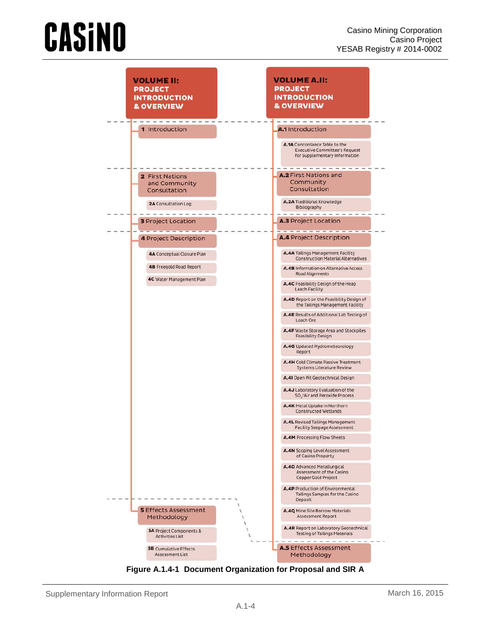

<span id="page-4-0"></span>**Figure A.1.4-1 Document Organization for Proposal and SIR A**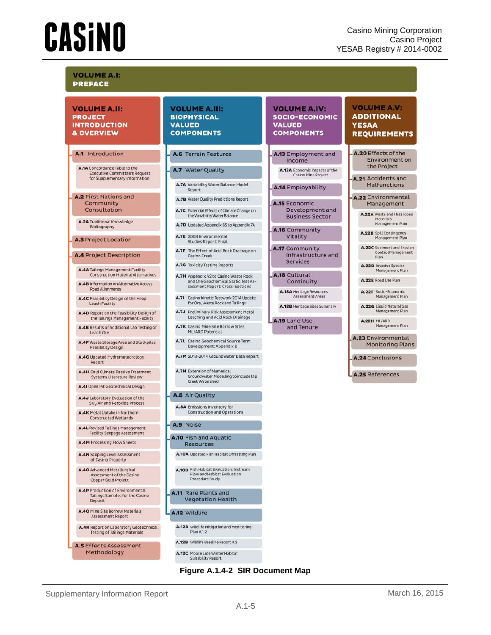#### **VOLUME A.II: PROJECT INTRODUCTION** & OVERVIEW

#### A.1 Introduction

A.1A Concordance Table to the Executive Committee's Request<br>for Supplementary Information

A.2 First Nations and Community Consultation

A.2A Traditional Knowledge Bibliography

#### A.3 Project Location

**A.4 Project Description** 

A.4A Tailings Management Facility **Construction Material Alternatives** 

A.4B Information on Alternative Access **Road Alignments** 

A.4C Feasibility Design of the Heap **Leach Facility** 

- A.4D Report on the Feasibility Design of<br>the Tailings Management Facility
- A.4E Results of Additional Lab Testing of Leach Ore

A.4F Waste Storage Area and Stockpiles<br>Feasibility Design

- A.4G Updated Hydrometeorology Report
- **A.4H** Cold Climate Passive Treatment<br>Systems Literature Review

A.41 Open Pit Geotechnical Design

A.4J Laboratory Evaluation of the SO<sub>.</sub>/Air and Peroxide Process

A.4K Metal Uptake in Northern **Constructed Wetlands** 

A.4L Revised Tailings Management Facility Seepage Assessment

A.4M Processing Flow Sheets

A.4N Scoping Level Assessment of Casino Property

- A.40 Advanced Metallurgical Assessment of the Casino Copper Gold Project
- **A.4P** Production of Environmental<br>Tailings Samples for the Casino Deposit

A.4Q Mine Site Borrow Materials Assessment Report

<span id="page-5-0"></span>**A.4R** Report on Laboratory Geotechnical<br>Testing of Tailings Materials A.5 Effects Assessment Methodology

#### **VOLUME A.III: BIOPHYSICAL VALUED COMPONENTS**

#### A.6 Terrain Features

#### A.7 Water Quality

A.7A Variability Water Balance Model Report

- A.7B Water Quality Predictions Report
- A.7C Potential Effects of Climate Change on<br>the Variability Water Balance
- A.7D Updated Appendix B5 to Appendix 7A
- A.7E 2008 Environmental<br>Studies Report: Final
- A.7F The Effect of Acid Rock Drainage on Casino Creek
- A.7G Toxicity Testing Reports
- A.7H Appendix A2 to Casino Waste Rock and Ore Geochemical Static Test Assessment Report: Cross-Sections
- A.71 Casino Kinetic Testwork 2014 Update<br>for Ore, Waste Rock and Tailings
- A.7J Preliminary Risk Assessment Metal Leaching and Acid Rock Drainage
- A.7K Casino Mine Site Borrow Sites ML/ARD Potential
- A.7L Casino Geochemical Source Term Development: Appendix B
- A.7M 2013-2014 Groundwater Data Report
- **A.7N** Extension of Numerical Groundwater Modelling to include Dip<br>Creek Watershed

#### A.8 Air Quality

A.8A Emissions Inventory for **Construction and Operations** 

#### A.9 Noise

- A.10 Fish and Aquatic **Resources**
- A.10A Updated Fish Habitat Offsetting Plan
- **A.10B** Fish Habitat Evaluation: Instream<br>Flow and Habitat Evaluation<br>Procedure Study
- A.11 Rare Plants and **Vegetation Health**

#### A.12 Wildlife

- A.12A Wildlife Mitigation and Monitoring Plan V.1.2. A.12B Wildlife Baseline Report V.2
- A.12C Moose Late Winter Habitat suitability Report



#### **VOLUME A.IV: SOCIO-ECONOMIC VALUED COMPONENTS**

#### A.13 Employment and Income A.13A Economic Impacts of the

**Casino Mine Project** 

A.14 Employability

- A.15 Economic Development and **Business Sector**
- A.16 Community Vitality
- A.17 Community Infrastructure and **Services**

A.18 Cultural Continuity

**A.18A** Heritage Resources<br>Assessment Areas

- A.18B Heritage Sites Summary
- A.19 Land Use
	- and Tenure

#### **VOLUME A.V: ADDITIONAL YESAA REQUIREMENTS**

A.20 Effects of the Environment on the Project

A.21 Accidents and Malfunctions

#### A.22 Environmental Management

A.22A Waste and Hazardous Materials Management Plan

A.22B Spill Contingency Management Plan

**A.22C** Sediment and Erosion<br>Control Management<br>Plan

A.22D Invasive Species<br>Management Plan

A.22E Road Use Plan

A.22F Socio-Economic<br>Management Plan

A.22G Liquid Natural Gas danagement Plan

A.22H ML/ARD Management Plan

A.23 Environmental **Monitoring Plans** 

A.24 Conclusions

A.25 References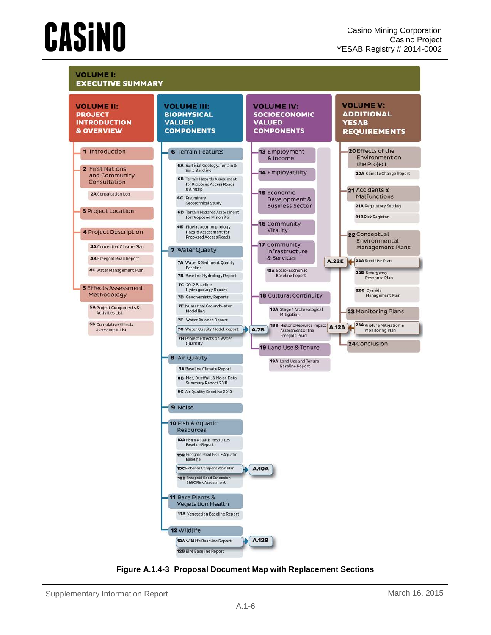

<span id="page-6-0"></span>**Figure A.1.4-3 Proposal Document Map with Replacement Sections**